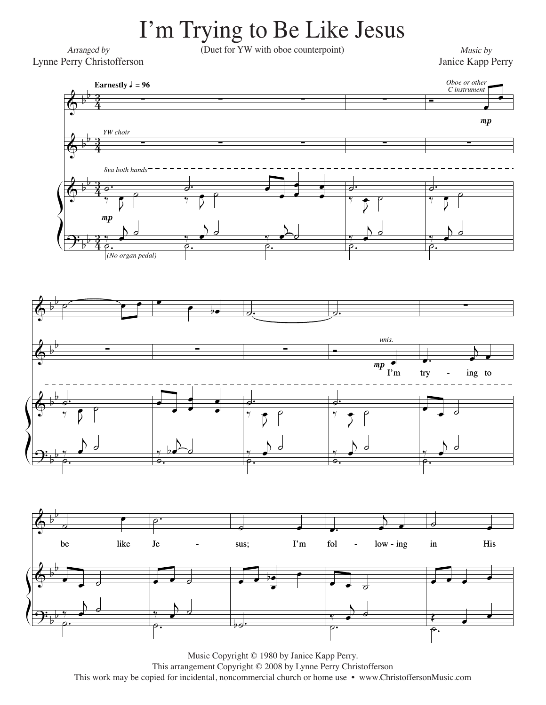## I'm Trying to Be Like Jesus I'm Trying to Be Like Jesus

*Arranged by* Arranged by Lynne Perry Christofferson Lynne Perry Christofferson (Duet for  $YW$  with oboe counterpoint)

*Words and Music by* Janice Kapp Perry Janice Kapp Perry



Music Copyright © 1980 by Janice Kapp Perry. This arrangement Copyright © 2008 by Lynne Perry Christofferson This work may be copied for incidental, noncommercial church or home use • www.ChristoffersonMusic.com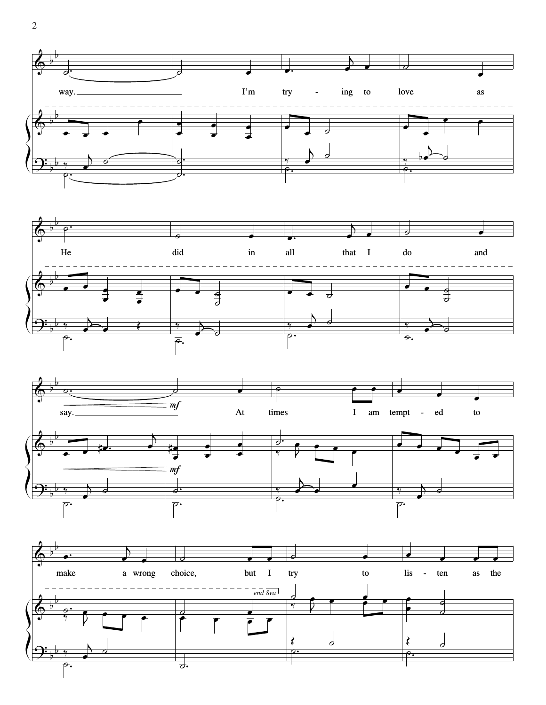





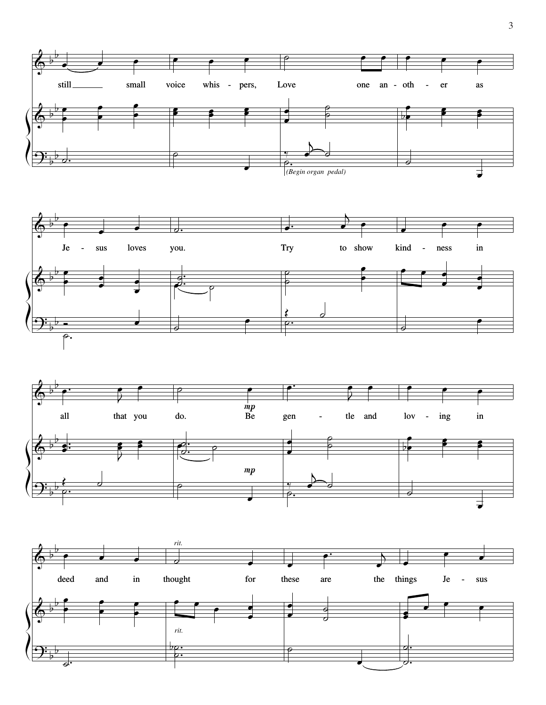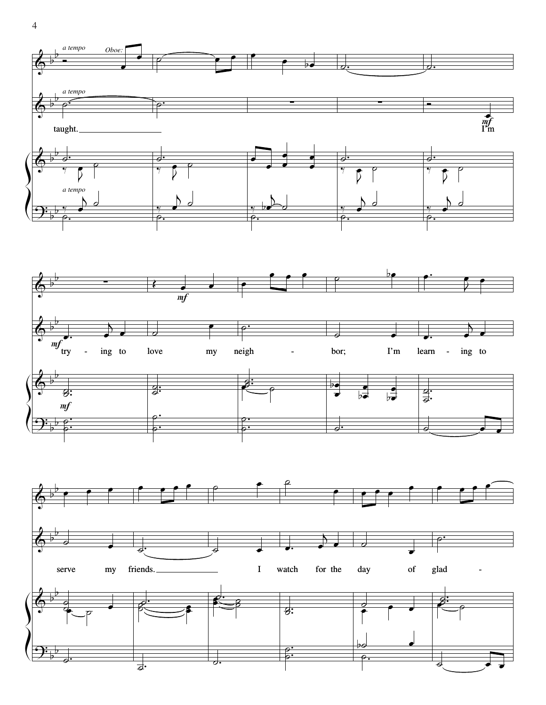



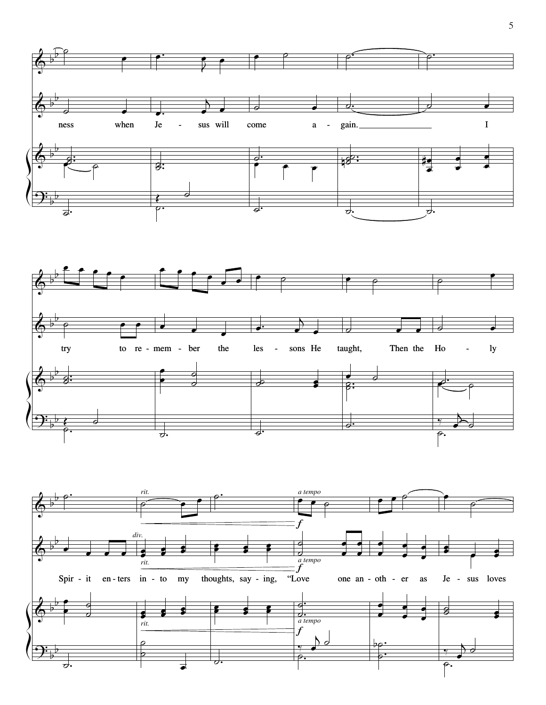

55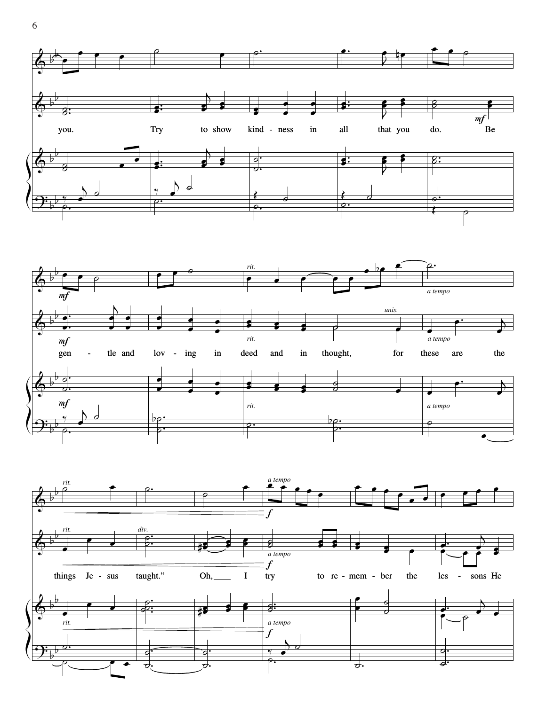



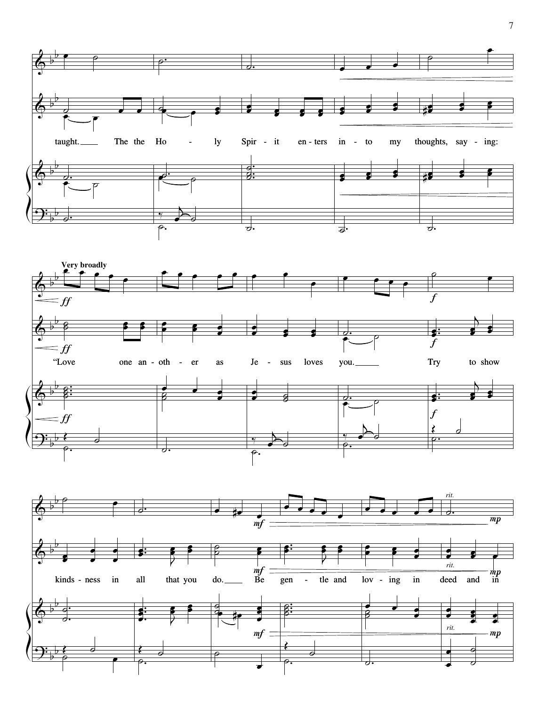